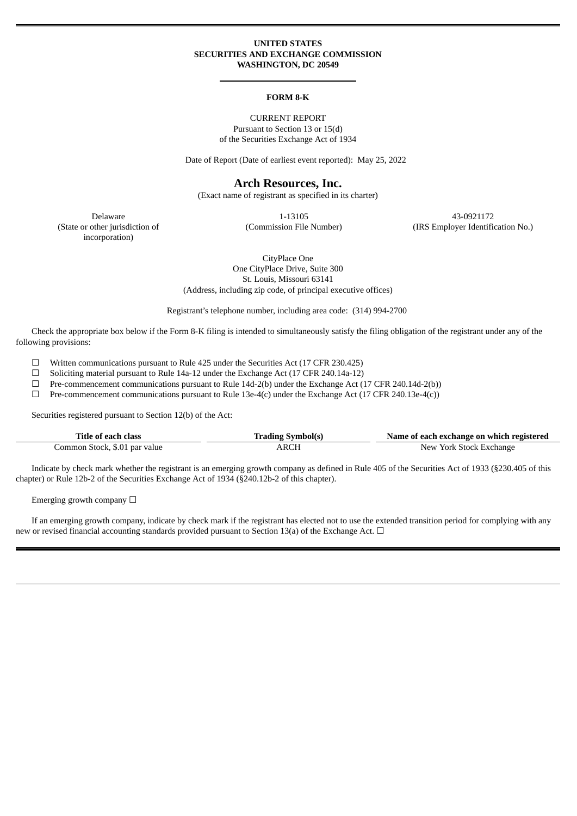### **UNITED STATES SECURITIES AND EXCHANGE COMMISSION WASHINGTON, DC 20549**

#### **FORM 8-K**

CURRENT REPORT Pursuant to Section 13 or 15(d) of the Securities Exchange Act of 1934

Date of Report (Date of earliest event reported): May 25, 2022

## **Arch Resources, Inc.**

(Exact name of registrant as specified in its charter)

(State or other jurisdiction of incorporation)

Delaware 1-13105 43-0921172

(Commission File Number) (IRS Employer Identification No.)

CityPlace One One CityPlace Drive, Suite 300 St. Louis, Missouri 63141 (Address, including zip code, of principal executive offices)

Registrant's telephone number, including area code: (314) 994-2700

Check the appropriate box below if the Form 8-K filing is intended to simultaneously satisfy the filing obligation of the registrant under any of the following provisions:

☐ Written communications pursuant to Rule 425 under the Securities Act (17 CFR 230.425)

☐ Soliciting material pursuant to Rule 14a-12 under the Exchange Act (17 CFR 240.14a-12)

 $\Box$  Pre-commencement communications pursuant to Rule 14d-2(b) under the Exchange Act (17 CFR 240.14d-2(b))

 $\Box$  Pre-commencement communications pursuant to Rule 13e-4(c) under the Exchange Act (17 CFR 240.13e-4(c))

Securities registered pursuant to Section 12(b) of the Act:

| Title of each class           | <b>Trading Symbol(s)</b> | Name of each exchange on which registered |
|-------------------------------|--------------------------|-------------------------------------------|
| Common Stock, \$.01 par value | ARCH                     | New York Stock Exchange                   |

Indicate by check mark whether the registrant is an emerging growth company as defined in Rule 405 of the Securities Act of 1933 (§230.405 of this chapter) or Rule 12b-2 of the Securities Exchange Act of 1934 (§240.12b-2 of this chapter).

Emerging growth company  $\Box$ 

If an emerging growth company, indicate by check mark if the registrant has elected not to use the extended transition period for complying with any new or revised financial accounting standards provided pursuant to Section 13(a) of the Exchange Act.  $\Box$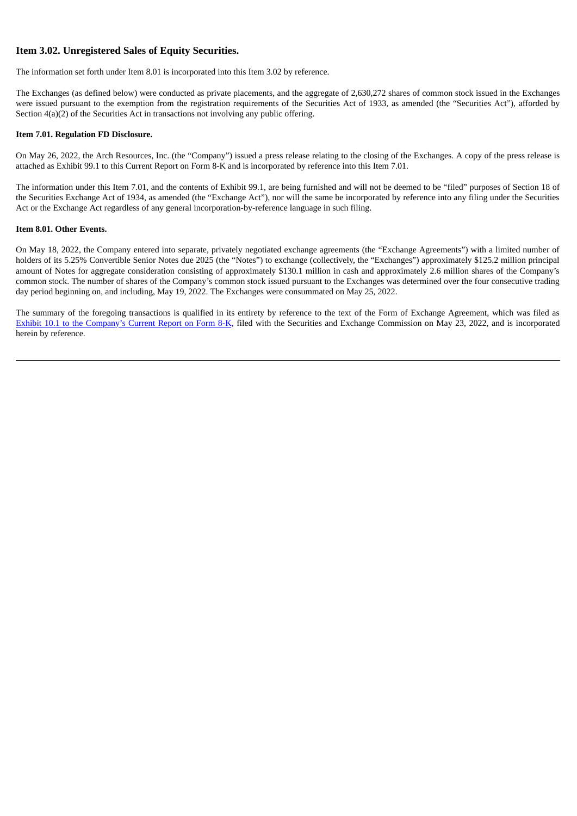## **Item 3.02. Unregistered Sales of Equity Securities.**

The information set forth under Item 8.01 is incorporated into this Item 3.02 by reference.

The Exchanges (as defined below) were conducted as private placements, and the aggregate of 2,630,272 shares of common stock issued in the Exchanges were issued pursuant to the exemption from the registration requirements of the Securities Act of 1933, as amended (the "Securities Act"), afforded by Section  $4(a)(2)$  of the Securities Act in transactions not involving any public offering.

### **Item 7.01. Regulation FD Disclosure.**

On May 26, 2022, the Arch Resources, Inc. (the "Company") issued a press release relating to the closing of the Exchanges. A copy of the press release is attached as Exhibit 99.1 to this Current Report on Form 8-K and is incorporated by reference into this Item 7.01.

The information under this Item 7.01, and the contents of Exhibit 99.1, are being furnished and will not be deemed to be "filed" purposes of Section 18 of the Securities Exchange Act of 1934, as amended (the "Exchange Act"), nor will the same be incorporated by reference into any filing under the Securities Act or the Exchange Act regardless of any general incorporation-by-reference language in such filing.

### **Item 8.01. Other Events.**

On May 18, 2022, the Company entered into separate, privately negotiated exchange agreements (the "Exchange Agreements") with a limited number of holders of its 5.25% Convertible Senior Notes due 2025 (the "Notes") to exchange (collectively, the "Exchanges") approximately \$125.2 million principal amount of Notes for aggregate consideration consisting of approximately \$130.1 million in cash and approximately 2.6 million shares of the Company's common stock. The number of shares of the Company's common stock issued pursuant to the Exchanges was determined over the four consecutive trading day period beginning on, and including, May 19, 2022. The Exchanges were consummated on May 25, 2022.

The summary of the foregoing transactions is qualified in its entirety by reference to the text of the Form of Exchange Agreement, which was filed as Exhibit 10.1 to the [Company's](https://www.sec.gov/Archives/edgar/data/1037676/000110465922063557/tm2215902d2_ex10-1.htm) Current Report on Form 8-K, filed with the Securities and Exchange Commission on May 23, 2022, and is incorporated herein by reference.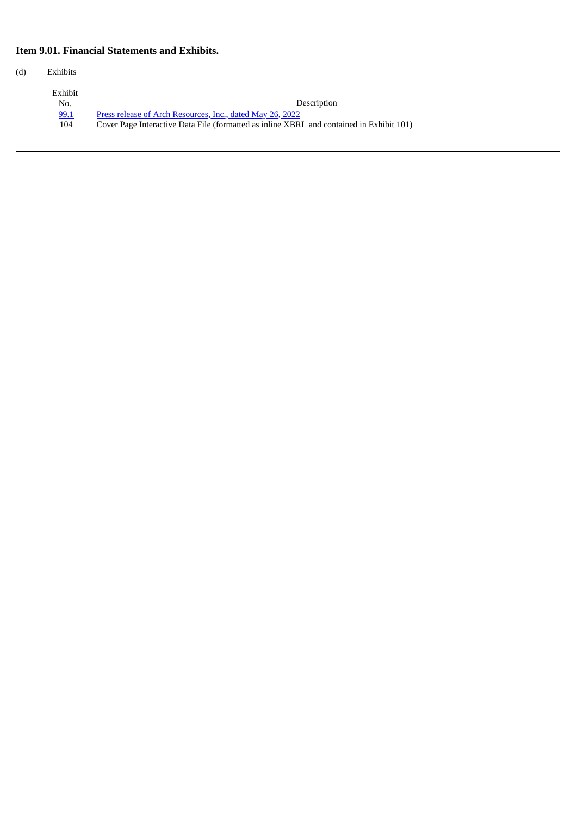# **Item 9.01. Financial Statements and Exhibits.**

(d) Exhibits

| Exhibit<br>No. | Description                                                                              |
|----------------|------------------------------------------------------------------------------------------|
| 99.1           | Press release of Arch Resources, Inc., dated May 26, 2022                                |
| 104            | Cover Page Interactive Data File (formatted as inline XBRL and contained in Exhibit 101) |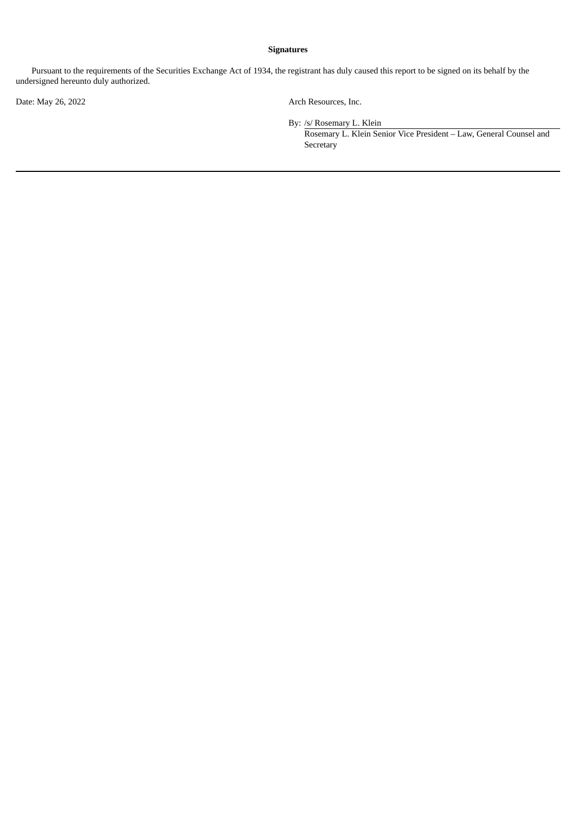## **Signatures**

Pursuant to the requirements of the Securities Exchange Act of 1934, the registrant has duly caused this report to be signed on its behalf by the undersigned hereunto duly authorized.

Date: May 26, 2022 Arch Resources, Inc.

By: /s/ Rosemary L. Klein

Rosemary L. Klein Senior Vice President – Law, General Counsel and **Secretary**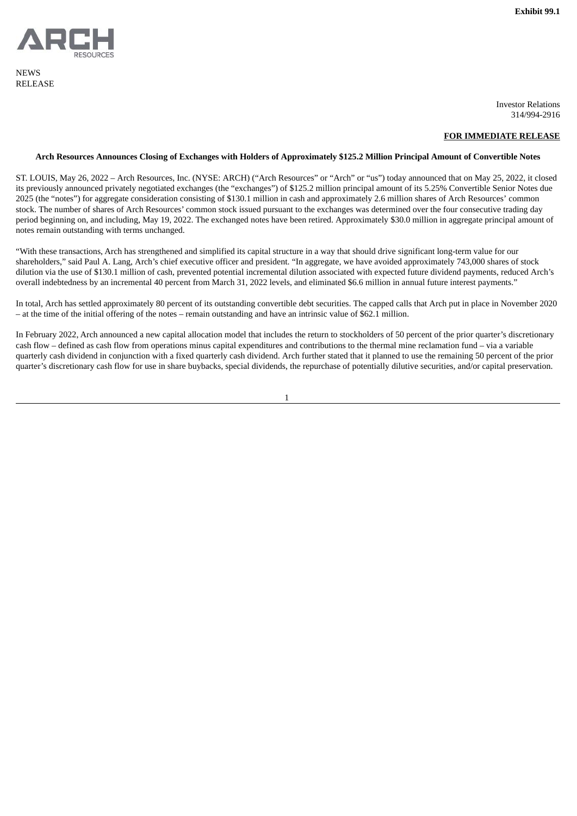<span id="page-4-0"></span>

**NEWS** RELEASE

Investor Relations 314/994-2916

### **FOR IMMEDIATE RELEASE**

### Arch Resources Announces Closing of Exchanges with Holders of Approximately \$125.2 Million Principal Amount of Convertible Notes

ST. LOUIS, May 26, 2022 – Arch Resources, Inc. (NYSE: ARCH) ("Arch Resources" or "Arch" or "us") today announced that on May 25, 2022, it closed its previously announced privately negotiated exchanges (the "exchanges") of \$125.2 million principal amount of its 5.25% Convertible Senior Notes due 2025 (the "notes") for aggregate consideration consisting of \$130.1 million in cash and approximately 2.6 million shares of Arch Resources' common stock. The number of shares of Arch Resources' common stock issued pursuant to the exchanges was determined over the four consecutive trading day period beginning on, and including, May 19, 2022. The exchanged notes have been retired. Approximately \$30.0 million in aggregate principal amount of notes remain outstanding with terms unchanged.

"With these transactions, Arch has strengthened and simplified its capital structure in a way that should drive significant long-term value for our shareholders," said Paul A. Lang, Arch's chief executive officer and president. "In aggregate, we have avoided approximately 743,000 shares of stock dilution via the use of \$130.1 million of cash, prevented potential incremental dilution associated with expected future dividend payments, reduced Arch's overall indebtedness by an incremental 40 percent from March 31, 2022 levels, and eliminated \$6.6 million in annual future interest payments."

In total, Arch has settled approximately 80 percent of its outstanding convertible debt securities. The capped calls that Arch put in place in November 2020 – at the time of the initial offering of the notes – remain outstanding and have an intrinsic value of \$62.1 million.

In February 2022, Arch announced a new capital allocation model that includes the return to stockholders of 50 percent of the prior quarter's discretionary cash flow – defined as cash flow from operations minus capital expenditures and contributions to the thermal mine reclamation fund – via a variable quarterly cash dividend in conjunction with a fixed quarterly cash dividend. Arch further stated that it planned to use the remaining 50 percent of the prior quarter's discretionary cash flow for use in share buybacks, special dividends, the repurchase of potentially dilutive securities, and/or capital preservation.

1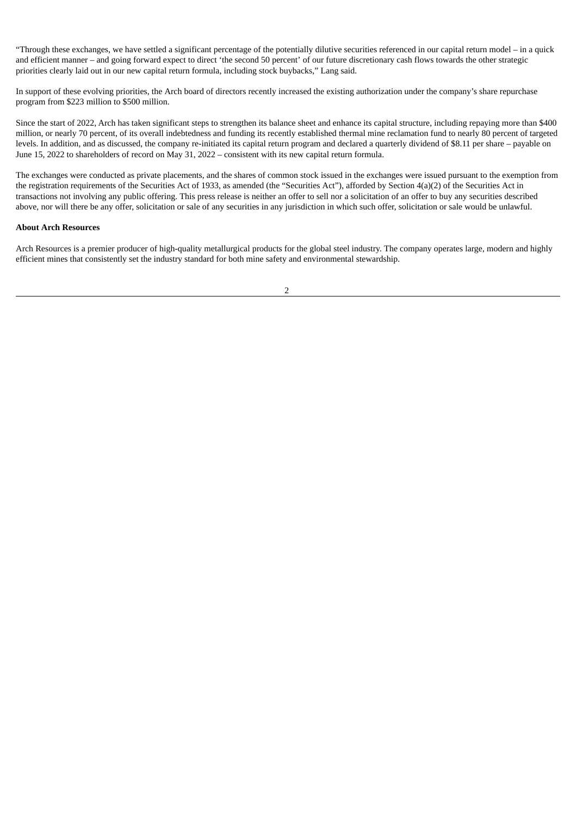"Through these exchanges, we have settled a significant percentage of the potentially dilutive securities referenced in our capital return model – in a quick and efficient manner – and going forward expect to direct 'the second 50 percent' of our future discretionary cash flows towards the other strategic priorities clearly laid out in our new capital return formula, including stock buybacks," Lang said.

In support of these evolving priorities, the Arch board of directors recently increased the existing authorization under the company's share repurchase program from \$223 million to \$500 million.

Since the start of 2022, Arch has taken significant steps to strengthen its balance sheet and enhance its capital structure, including repaying more than \$400 million, or nearly 70 percent, of its overall indebtedness and funding its recently established thermal mine reclamation fund to nearly 80 percent of targeted levels. In addition, and as discussed, the company re-initiated its capital return program and declared a quarterly dividend of \$8.11 per share – payable on June 15, 2022 to shareholders of record on May 31, 2022 – consistent with its new capital return formula.

The exchanges were conducted as private placements, and the shares of common stock issued in the exchanges were issued pursuant to the exemption from the registration requirements of the Securities Act of 1933, as amended (the "Securities Act"), afforded by Section 4(a)(2) of the Securities Act in transactions not involving any public offering. This press release is neither an offer to sell nor a solicitation of an offer to buy any securities described above, nor will there be any offer, solicitation or sale of any securities in any jurisdiction in which such offer, solicitation or sale would be unlawful.

### **About Arch Resources**

Arch Resources is a premier producer of high-quality metallurgical products for the global steel industry. The company operates large, modern and highly efficient mines that consistently set the industry standard for both mine safety and environmental stewardship.